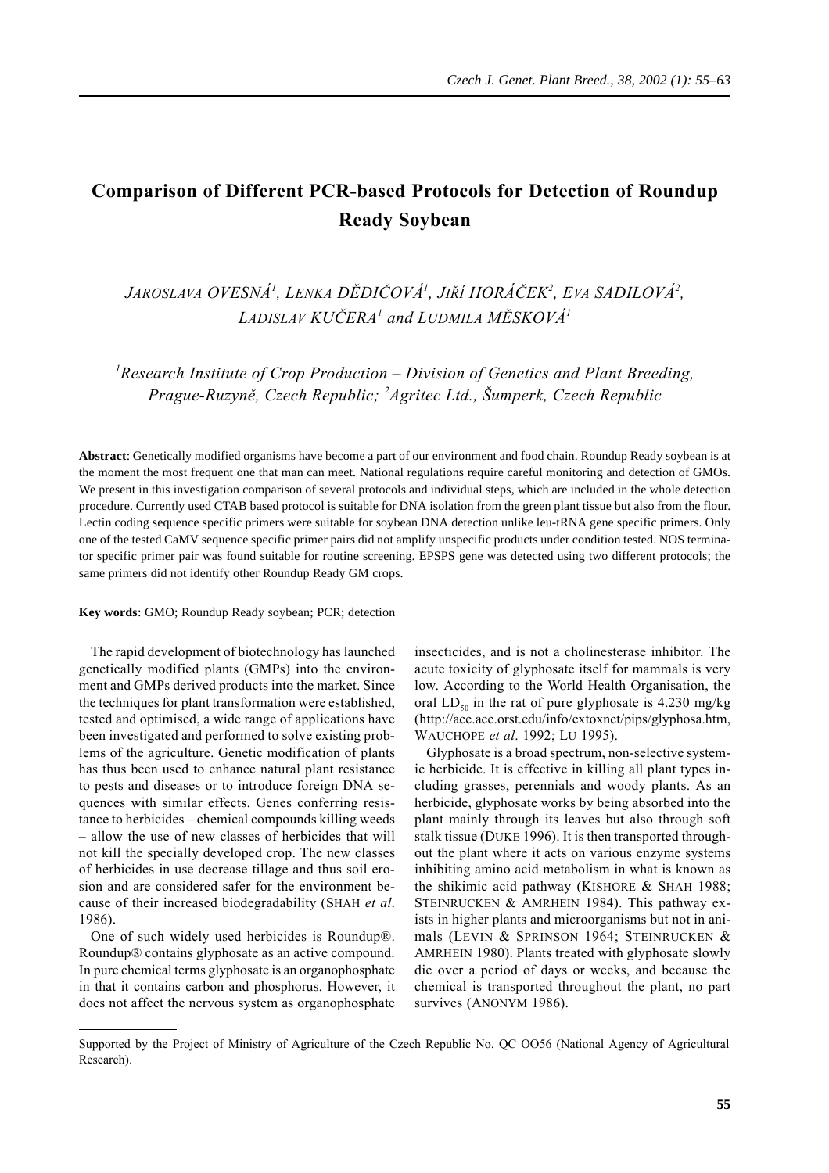# **Comparison of Different PCR-based Protocols for Detection of Roundup Ready Soybean**

*JAROSLAVA OVESNÁ<sup>1</sup> , LENKA DĚDIČOVÁ<sup>1</sup> , JIŘÍ HORÁČEK<sup>2</sup> , EVA SADILOVÁ<sup>2</sup> , LADISLAV KUČERA<sup>1</sup> and LUDMILA MĚSKOVÁ<sup>1</sup>*

*1 Research Institute of Crop Production – Division of Genetics and Plant Breeding, Prague-Ruzyně, Czech Republic; 2 Agritec Ltd., Šumperk, Czech Republic*

**Abstract**: Genetically modified organisms have become a part of our environment and food chain. Roundup Ready soybean is at the moment the most frequent one that man can meet. National regulations require careful monitoring and detection of GMOs. We present in this investigation comparison of several protocols and individual steps, which are included in the whole detection procedure. Currently used CTAB based protocol is suitable for DNA isolation from the green plant tissue but also from the flour. Lectin coding sequence specific primers were suitable for soybean DNA detection unlike leu-tRNA gene specific primers. Only one of the tested CaMV sequence specific primer pairs did not amplify unspecific products under condition tested. NOS terminator specific primer pair was found suitable for routine screening. EPSPS gene was detected using two different protocols; the same primers did not identify other Roundup Ready GM crops.

**Key words**: GMO; Roundup Ready soybean; PCR; detection

The rapid development of biotechnology has launched genetically modified plants (GMPs) into the environment and GMPs derived products into the market. Since the techniques for plant transformation were established, tested and optimised, a wide range of applications have been investigated and performed to solve existing problems of the agriculture. Genetic modification of plants has thus been used to enhance natural plant resistance to pests and diseases or to introduce foreign DNA sequences with similar effects. Genes conferring resistance to herbicides – chemical compounds killing weeds – allow the use of new classes of herbicides that will not kill the specially developed crop. The new classes of herbicides in use decrease tillage and thus soil erosion and are considered safer for the environment because of their increased biodegradability (SHAH *et al*. 1986).

One of such widely used herbicides is Roundup®. Roundup® contains glyphosate as an active compound. In pure chemical terms glyphosate is an organophosphate in that it contains carbon and phosphorus. However, it does not affect the nervous system as organophosphate insecticides, and is not a cholinesterase inhibitor. The acute toxicity of glyphosate itself for mammals is very low. According to the World Health Organisation, the oral  $LD_{50}$  in the rat of pure glyphosate is 4.230 mg/kg (http://ace.ace.orst.edu/info/extoxnet/pips/glyphosa.htm, WAUCHOPE *et al*. 1992; LU 1995).

Glyphosate is a broad spectrum, non-selective systemic herbicide. It is effective in killing all plant types including grasses, perennials and woody plants. As an herbicide, glyphosate works by being absorbed into the plant mainly through its leaves but also through soft stalk tissue (DUKE 1996). It is then transported throughout the plant where it acts on various enzyme systems inhibiting amino acid metabolism in what is known as the shikimic acid pathway (KISHORE & SHAH 1988; STEINRUCKEN & AMRHEIN 1984). This pathway exists in higher plants and microorganisms but not in animals (LEVIN & SPRINSON 1964; STEINRUCKEN & AMRHEIN 1980). Plants treated with glyphosate slowly die over a period of days or weeks, and because the chemical is transported throughout the plant, no part survives (ANONYM 1986).

Supported by the Project of Ministry of Agriculture of the Czech Republic No. QC OO56 (National Agency of Agricultural Research).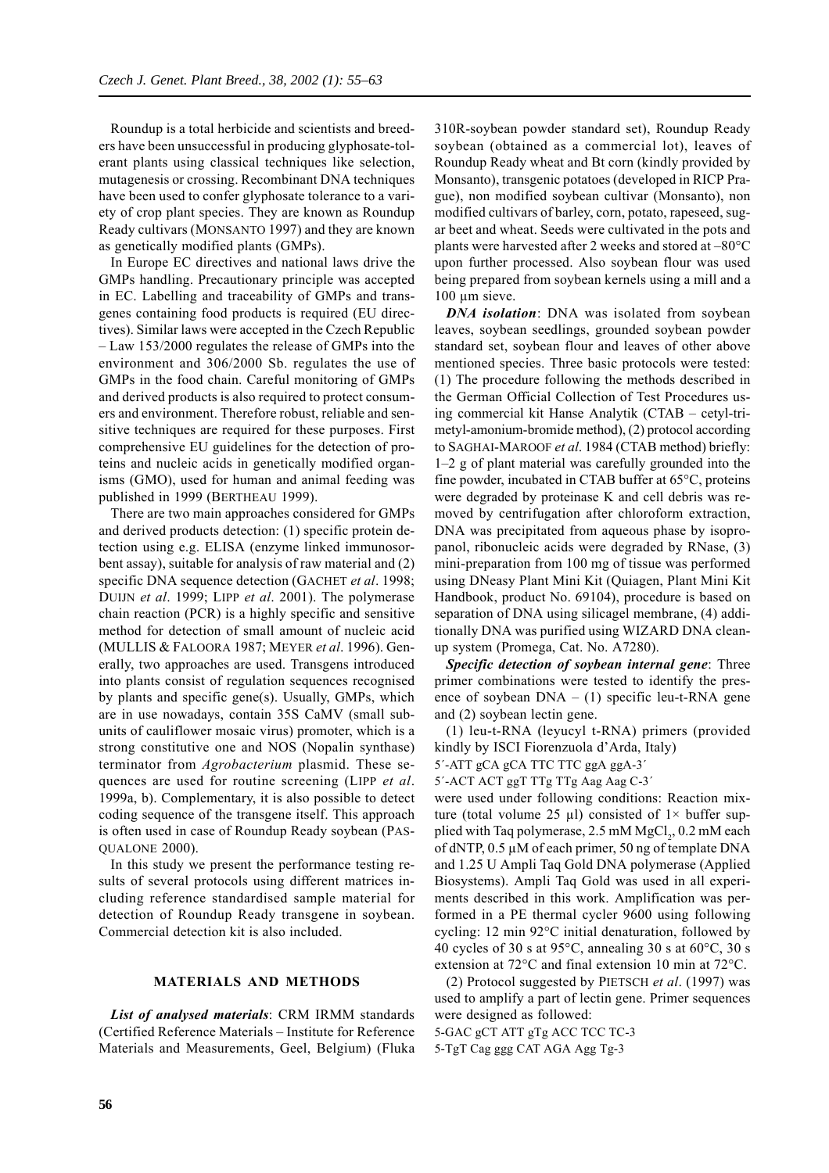Roundup is a total herbicide and scientists and breeders have been unsuccessful in producing glyphosate-tolerant plants using classical techniques like selection, mutagenesis or crossing. Recombinant DNA techniques have been used to confer glyphosate tolerance to a variety of crop plant species. They are known as Roundup Ready cultivars (MONSANTO 1997) and they are known as genetically modified plants (GMPs).

In Europe EC directives and national laws drive the GMPs handling. Precautionary principle was accepted in EC. Labelling and traceability of GMPs and transgenes containing food products is required (EU directives). Similar laws were accepted in the Czech Republic – Law 153/2000 regulates the release of GMPs into the environment and 306/2000 Sb. regulates the use of GMPs in the food chain. Careful monitoring of GMPs and derived products is also required to protect consumers and environment. Therefore robust, reliable and sensitive techniques are required for these purposes. First comprehensive EU guidelines for the detection of proteins and nucleic acids in genetically modified organisms (GMO), used for human and animal feeding was published in 1999 (BERTHEAU 1999).

There are two main approaches considered for GMPs and derived products detection: (1) specific protein detection using e.g. ELISA (enzyme linked immunosorbent assay), suitable for analysis of raw material and (2) specific DNA sequence detection (GACHET *et al*. 1998; DUIJN *et al*. 1999; LIPP *et al*. 2001). The polymerase chain reaction (PCR) is a highly specific and sensitive method for detection of small amount of nucleic acid (MULLIS & FALOORA 1987; MEYER *et al*. 1996). Generally, two approaches are used. Transgens introduced into plants consist of regulation sequences recognised by plants and specific gene(s). Usually, GMPs, which are in use nowadays, contain 35S CaMV (small subunits of cauliflower mosaic virus) promoter, which is a strong constitutive one and NOS (Nopalin synthase) terminator from *Agrobacterium* plasmid. These sequences are used for routine screening (LIPP *et al*. 1999a, b). Complementary, it is also possible to detect coding sequence of the transgene itself. This approach is often used in case of Roundup Ready soybean (PAS-QUALONE 2000).

In this study we present the performance testing results of several protocols using different matrices including reference standardised sample material for detection of Roundup Ready transgene in soybean. Commercial detection kit is also included.

## **MATERIALS AND METHODS**

*List of analysed materials*: CRM IRMM standards (Certified Reference Materials – Institute for Reference Materials and Measurements, Geel, Belgium) (Fluka 310R-soybean powder standard set), Roundup Ready soybean (obtained as a commercial lot), leaves of Roundup Ready wheat and Bt corn (kindly provided by Monsanto), transgenic potatoes (developed in RICP Prague), non modified soybean cultivar (Monsanto), non modified cultivars of barley, corn, potato, rapeseed, sugar beet and wheat. Seeds were cultivated in the pots and plants were harvested after 2 weeks and stored at –80°C upon further processed. Also soybean flour was used being prepared from soybean kernels using a mill and a 100 µm sieve.

*DNA isolation*: DNA was isolated from soybean leaves, soybean seedlings, grounded soybean powder standard set, soybean flour and leaves of other above mentioned species. Three basic protocols were tested: (1) The procedure following the methods described in the German Official Collection of Test Procedures using commercial kit Hanse Analytik (CTAB – cetyl-trimetyl-amonium-bromide method), (2) protocol according to SAGHAI-MAROOF *et al*. 1984 (CTAB method) briefly: 1–2 g of plant material was carefully grounded into the fine powder, incubated in CTAB buffer at 65°C, proteins were degraded by proteinase K and cell debris was removed by centrifugation after chloroform extraction, DNA was precipitated from aqueous phase by isopropanol, ribonucleic acids were degraded by RNase, (3) mini-preparation from 100 mg of tissue was performed using DNeasy Plant Mini Kit (Quiagen, Plant Mini Kit Handbook, product No. 69104), procedure is based on separation of DNA using silicagel membrane, (4) additionally DNA was purified using WIZARD DNA cleanup system (Promega, Cat. No. A7280).

*Specific detection of soybean internal gene*: Three primer combinations were tested to identify the presence of soybean DNA – (1) specific leu-t-RNA gene and (2) soybean lectin gene.

(1) leu-t-RNA (leyucyl t-RNA) primers (provided kindly by ISCI Fiorenzuola d'Arda, Italy)

5´-ATT gCA gCA TTC TTC ggA ggA-3´

5´-ACT ACT ggT TTg TTg Aag Aag C-3´

were used under following conditions: Reaction mixture (total volume 25  $\mu$ l) consisted of 1× buffer supplied with Taq polymerase,  $2.5 \text{ mM MgCl}_2$ ,  $0.2 \text{ mM each}$ of dNTP, 0.5 µM of each primer, 50 ng of template DNA and 1.25 U Ampli Taq Gold DNA polymerase (Applied Biosystems). Ampli Taq Gold was used in all experiments described in this work. Amplification was performed in a PE thermal cycler 9600 using following cycling: 12 min 92°C initial denaturation, followed by 40 cycles of 30 s at  $95^{\circ}$ C, annealing 30 s at  $60^{\circ}$ C, 30 s extension at 72°C and final extension 10 min at 72°C.

(2) Protocol suggested by PIETSCH *et al*. (1997) was used to amplify a part of lectin gene. Primer sequences were designed as followed:

5-GAC gCT ATT gTg ACC TCC TC-3 5-TgT Cag ggg CAT AGA Agg Tg-3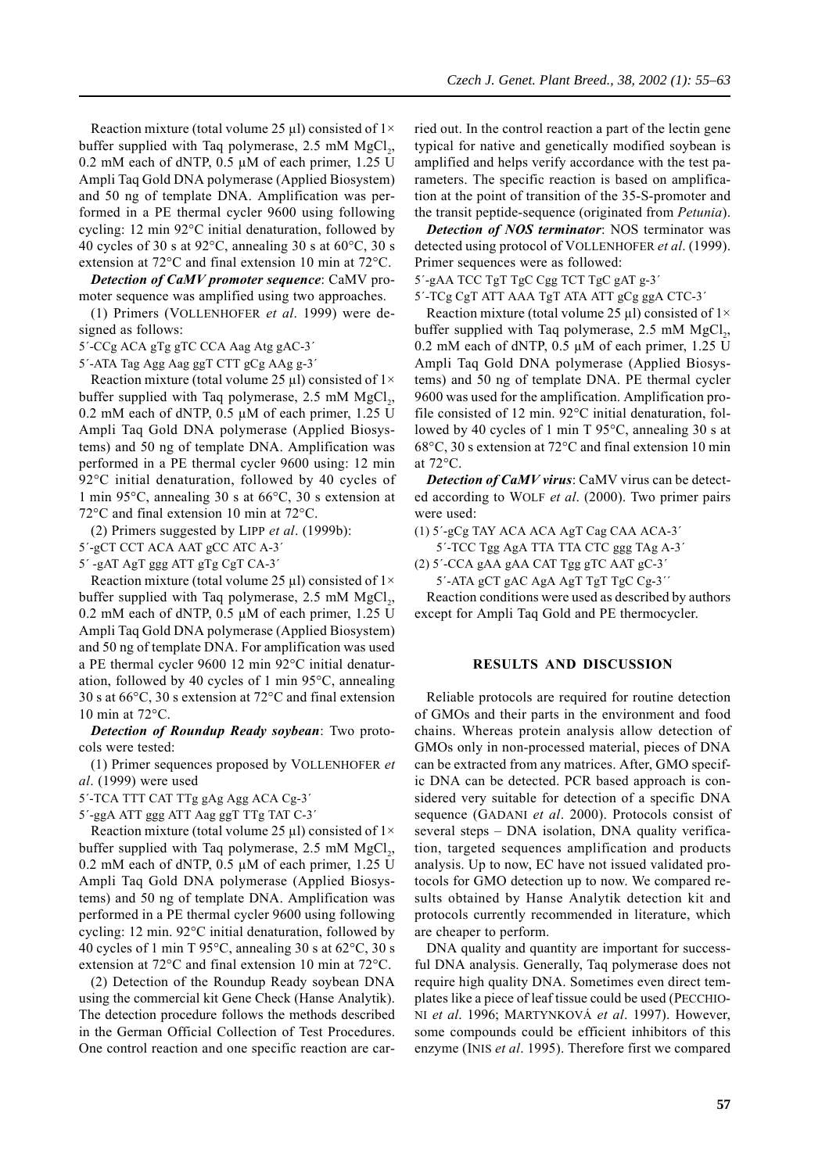Reaction mixture (total volume 25  $\mu$ l) consisted of 1× buffer supplied with Taq polymerase,  $2.5 \text{ mM } MgCl<sub>2</sub>$ , 0.2 mM each of dNTP, 0.5 µM of each primer, 1.25 U Ampli Taq Gold DNA polymerase (Applied Biosystem) and 50 ng of template DNA. Amplification was performed in a PE thermal cycler 9600 using following cycling: 12 min 92°C initial denaturation, followed by 40 cycles of 30 s at  $92^{\circ}$ C, annealing 30 s at  $60^{\circ}$ C, 30 s extension at 72°C and final extension 10 min at 72°C.

*Detection of CaMV promoter sequence*: CaMV promoter sequence was amplified using two approaches.

(1) Primers (VOLLENHOFER *et al*. 1999) were designed as follows:

5´-CCg ACA gTg gTC CCA Aag Atg gAC-3´

5´-ATA Tag Agg Aag ggT CTT gCg AAg g-3´

Reaction mixture (total volume 25  $\mu$ l) consisted of 1× buffer supplied with Taq polymerase,  $2.5 \text{ mM } MgCl<sub>2</sub>$ , 0.2 mM each of dNTP, 0.5 µM of each primer, 1.25 U Ampli Taq Gold DNA polymerase (Applied Biosystems) and 50 ng of template DNA. Amplification was performed in a PE thermal cycler 9600 using: 12 min 92°C initial denaturation, followed by 40 cycles of 1 min 95°C, annealing 30 s at 66°C, 30 s extension at 72°C and final extension 10 min at 72°C.

(2) Primers suggested by LIPP *et al*. (1999b):

5´-gCT CCT ACA AAT gCC ATC A-3´

5´ -gAT AgT ggg ATT gTg CgT CA-3´

Reaction mixture (total volume 25  $\mu$ l) consisted of 1× buffer supplied with Taq polymerase,  $2.5 \text{ mM } MgCl<sub>2</sub>$ , 0.2 mM each of dNTP, 0.5 µM of each primer, 1.25 U Ampli Taq Gold DNA polymerase (Applied Biosystem) and 50 ng of template DNA. For amplification was used a PE thermal cycler 9600 12 min 92°C initial denaturation, followed by 40 cycles of 1 min 95°C, annealing 30 s at 66°C, 30 s extension at 72°C and final extension 10 min at 72°C.

*Detection of Roundup Ready soybean*: Two protocols were tested:

(1) Primer sequences proposed by VOLLENHOFER *et al*. (1999) were used

5´-TCA TTT CAT TTg gAg Agg ACA Cg-3´

5´-ggA ATT ggg ATT Aag ggT TTg TAT C-3´

Reaction mixture (total volume 25  $\mu$ l) consisted of 1× buffer supplied with Taq polymerase,  $2.5 \text{ mM } MgCl<sub>2</sub>$ , 0.2 mM each of dNTP, 0.5 µM of each primer, 1.25 U Ampli Taq Gold DNA polymerase (Applied Biosystems) and 50 ng of template DNA. Amplification was performed in a PE thermal cycler 9600 using following cycling: 12 min. 92°C initial denaturation, followed by 40 cycles of 1 min T 95°C, annealing 30 s at 62°C, 30 s extension at 72°C and final extension 10 min at 72°C.

(2) Detection of the Roundup Ready soybean DNA using the commercial kit Gene Check (Hanse Analytik). The detection procedure follows the methods described in the German Official Collection of Test Procedures. One control reaction and one specific reaction are carried out. In the control reaction a part of the lectin gene typical for native and genetically modified soybean is amplified and helps verify accordance with the test parameters. The specific reaction is based on amplification at the point of transition of the 35-S-promoter and the transit peptide-sequence (originated from *Petunia*).

*Detection of NOS terminator*: NOS terminator was detected using protocol of VOLLENHOFER *et al*. (1999). Primer sequences were as followed:

5´-gAA TCC TgT TgC Cgg TCT TgC gAT g-3´

5´-TCg CgT ATT AAA TgT ATA ATT gCg ggA CTC-3´

Reaction mixture (total volume 25  $\mu$ l) consisted of 1× buffer supplied with Taq polymerase,  $2.5 \text{ mM } MgCl<sub>2</sub>$ , 0.2 mM each of dNTP, 0.5 µM of each primer, 1.25 U Ampli Taq Gold DNA polymerase (Applied Biosystems) and 50 ng of template DNA. PE thermal cycler 9600 was used for the amplification. Amplification profile consisted of 12 min. 92°C initial denaturation, followed by 40 cycles of 1 min T 95°C, annealing 30 s at 68°C, 30 s extension at 72°C and final extension 10 min at 72°C.

*Detection of CaMV virus*: CaMV virus can be detected according to WOLF *et al*. (2000). Two primer pairs were used:

(1) 5´-gCg TAY ACA ACA AgT Cag CAA ACA-3´

5´-TCC Tgg AgA TTA TTA CTC ggg TAg A-3´

(2) 5´-CCA gAA gAA CAT Tgg gTC AAT gC-3´

5´-ATA gCT gAC AgA AgT TgT TgC Cg-3´´

Reaction conditions were used as described by authors except for Ampli Taq Gold and PE thermocycler.

### **RESULTS AND DISCUSSION**

Reliable protocols are required for routine detection of GMOs and their parts in the environment and food chains. Whereas protein analysis allow detection of GMOs only in non-processed material, pieces of DNA can be extracted from any matrices. After, GMO specific DNA can be detected. PCR based approach is considered very suitable for detection of a specific DNA sequence (GADANI *et al*. 2000). Protocols consist of several steps – DNA isolation, DNA quality verification, targeted sequences amplification and products analysis. Up to now, EC have not issued validated protocols for GMO detection up to now. We compared results obtained by Hanse Analytik detection kit and protocols currently recommended in literature, which are cheaper to perform.

DNA quality and quantity are important for successful DNA analysis. Generally, Taq polymerase does not require high quality DNA. Sometimes even direct templates like a piece of leaf tissue could be used (PECCHIO-NI *et al*. 1996; MARTYNKOVÁ *et al*. 1997). However, some compounds could be efficient inhibitors of this enzyme (INIS *et al*. 1995). Therefore first we compared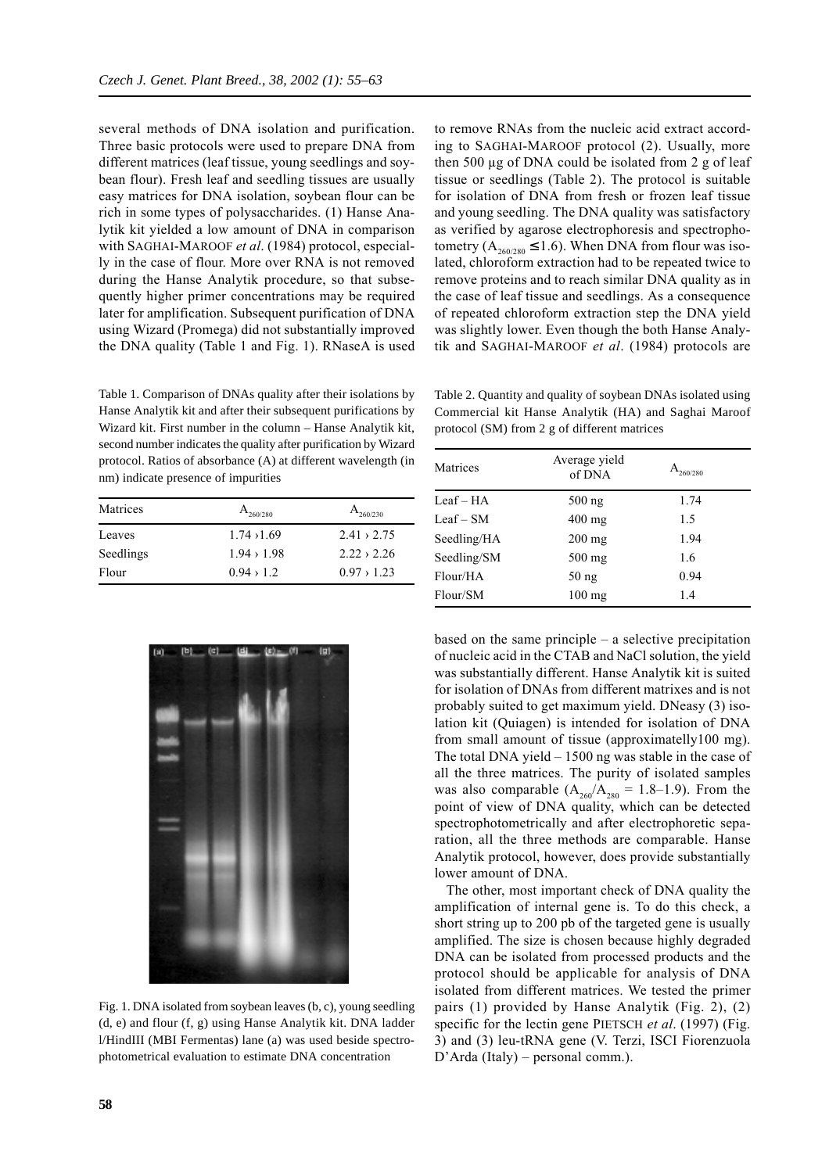several methods of DNA isolation and purification. Three basic protocols were used to prepare DNA from different matrices (leaf tissue, young seedlings and soybean flour). Fresh leaf and seedling tissues are usually easy matrices for DNA isolation, soybean flour can be rich in some types of polysaccharides. (1) Hanse Analytik kit yielded a low amount of DNA in comparison with SAGHAI-MAROOF *et al*. (1984) protocol, especially in the case of flour. More over RNA is not removed during the Hanse Analytik procedure, so that subsequently higher primer concentrations may be required later for amplification. Subsequent purification of DNA using Wizard (Promega) did not substantially improved the DNA quality (Table 1 and Fig. 1). RNaseA is used

Table 1. Comparison of DNAs quality after their isolations by Hanse Analytik kit and after their subsequent purifications by Wizard kit. First number in the column – Hanse Analytik kit, second number indicates the quality after purification by Wizard protocol. Ratios of absorbance (A) at different wavelength (in nm) indicate presence of impurities

| Matrices  | $A_{260/280}$      | ${\rm A}_{_{260/230}}$  |
|-----------|--------------------|-------------------------|
| Leaves    | 1.74 > 1.69        | $2.41 \rightarrow 2.75$ |
| Seedlings | $1.94 \times 1.98$ | 2.22 > 2.26             |
| Flour     | 0.94 > 1.2         | 0.97 > 1.23             |



Fig. 1. DNA isolated from soybean leaves (b, c), young seedling (d, e) and flour (f, g) using Hanse Analytik kit. DNA ladder l/HindIII (MBI Fermentas) lane (a) was used beside spectrophotometrical evaluation to estimate DNA concentration

to remove RNAs from the nucleic acid extract according to SAGHAI-MAROOF protocol (2). Usually, more then 500 µg of DNA could be isolated from 2 g of leaf tissue or seedlings (Table 2). The protocol is suitable for isolation of DNA from fresh or frozen leaf tissue and young seedling. The DNA quality was satisfactory as verified by agarose electrophoresis and spectrophotometry ( $A_{260/280} \le 1.6$ ). When DNA from flour was isolated, chloroform extraction had to be repeated twice to remove proteins and to reach similar DNA quality as in the case of leaf tissue and seedlings. As a consequence of repeated chloroform extraction step the DNA yield was slightly lower. Even though the both Hanse Analytik and SAGHAI-MAROOF *et al*. (1984) protocols are

Table 2. Quantity and quality of soybean DNAs isolated using Commercial kit Hanse Analytik (HA) and Saghai Maroof protocol (SM) from 2 g of different matrices

| Matrices    | Average yield<br>of DNA | 260/280 |  |
|-------------|-------------------------|---------|--|
| $Leaf-HA$   | $500$ ng                | 1.74    |  |
| $Leaf-SM$   | $400 \text{ mg}$        | 1.5     |  |
| Seedling/HA | $200$ mg                | 1.94    |  |
| Seedling/SM | $500$ mg                | 1.6     |  |
| Flour/HA    | 50 <sub>ng</sub>        | 0.94    |  |
| Flour/SM    | $100 \text{ mg}$        | 1.4     |  |

based on the same principle – a selective precipitation of nucleic acid in the CTAB and NaCl solution, the yield was substantially different. Hanse Analytik kit is suited for isolation of DNAs from different matrixes and is not probably suited to get maximum yield. DNeasy (3) isolation kit (Quiagen) is intended for isolation of DNA from small amount of tissue (approximatelly100 mg). The total DNA yield – 1500 ng was stable in the case of all the three matrices. The purity of isolated samples was also comparable  $(A_{260}/A_{280} = 1.8-1.9)$ . From the point of view of DNA quality, which can be detected spectrophotometrically and after electrophoretic separation, all the three methods are comparable. Hanse Analytik protocol, however, does provide substantially lower amount of DNA.

The other, most important check of DNA quality the amplification of internal gene is. To do this check, a short string up to 200 pb of the targeted gene is usually amplified. The size is chosen because highly degraded DNA can be isolated from processed products and the protocol should be applicable for analysis of DNA isolated from different matrices. We tested the primer pairs (1) provided by Hanse Analytik (Fig. 2), (2) specific for the lectin gene PIETSCH *et al*. (1997) (Fig. 3) and (3) leu-tRNA gene (V. Terzi, ISCI Fiorenzuola D'Arda (Italy) – personal comm.).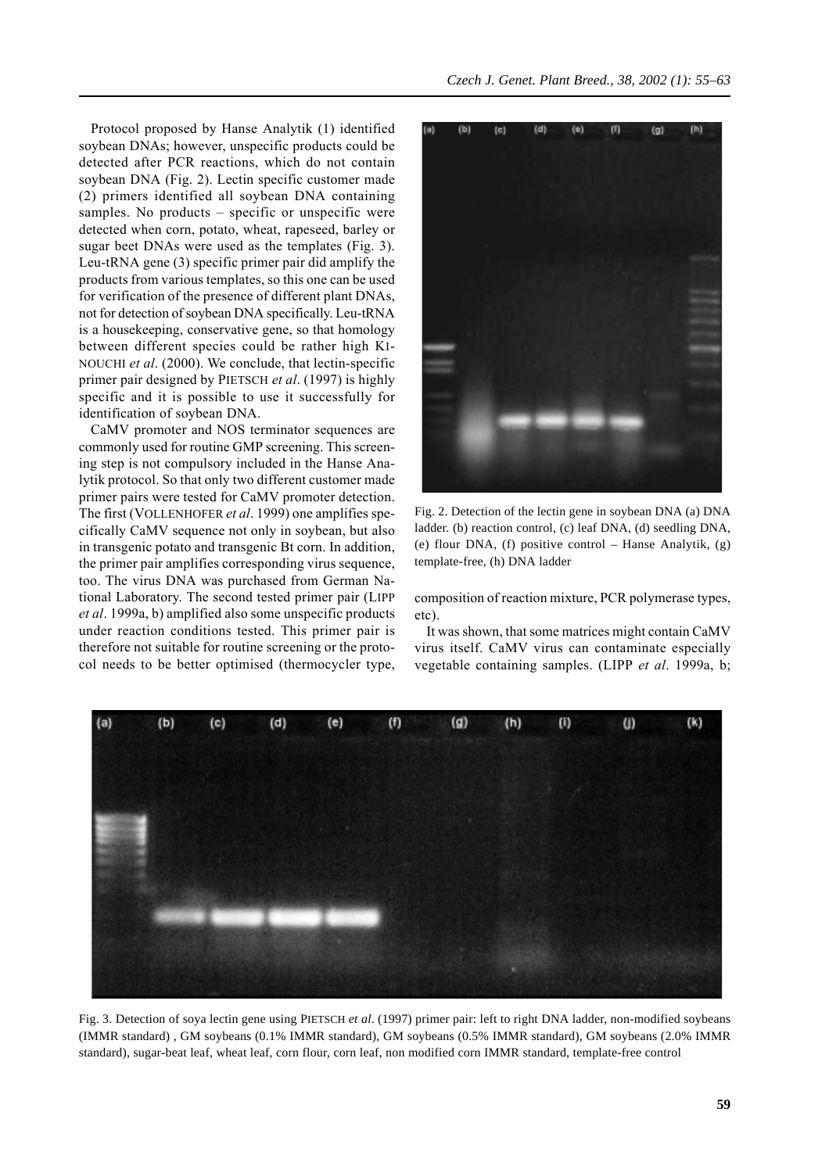Protocol proposed by Hanse Analytik (1) identified soybean DNAs; however, unspecific products could be detected after PCR reactions, which do not contain soybean DNA (Fig. 2). Lectin specific customer made (2) primers identified all soybean DNA containing samples. No products – specific or unspecific were detected when corn, potato, wheat, rapeseed, barley or sugar beet DNAs were used as the templates (Fig. 3). Leu-tRNA gene (3) specific primer pair did amplify the products from various templates, so this one can be used for verification of the presence of different plant DNAs, not for detection of soybean DNA specifically. Leu-tRNA is a housekeeping, conservative gene, so that homology between different species could be rather high KI-NOUCHI *et al*. (2000). We conclude, that lectin-specific primer pair designed by PIETSCH *et al*. (1997) is highly specific and it is possible to use it successfully for identification of soybean DNA.

CaMV promoter and NOS terminator sequences are commonly used for routine GMP screening. This screening step is not compulsory included in the Hanse Analytik protocol. So that only two different customer made primer pairs were tested for CaMV promoter detection. The first (VOLLENHOFER *et al*. 1999) one amplifies specifically CaMV sequence not only in soybean, but also in transgenic potato and transgenic Bt corn. In addition, the primer pair amplifies corresponding virus sequence, too. The virus DNA was purchased from German National Laboratory. The second tested primer pair (LIPP *et al*. 1999a, b) amplified also some unspecific products under reaction conditions tested. This primer pair is therefore not suitable for routine screening or the protocol needs to be better optimised (thermocycler type,



Fig. 2. Detection of the lectin gene in soybean DNA (a) DNA ladder. (b) reaction control, (c) leaf DNA, (d) seedling DNA, (e) flour DNA, (f) positive control – Hanse Analytik, (g) template-free, (h) DNA ladder

composition of reaction mixture, PCR polymerase types, etc).

It was shown, that some matrices might contain CaMV virus itself. CaMV virus can contaminate especially vegetable containing samples. (LIPP *et al*. 1999a, b;



Fig. 3. Detection of soya lectin gene using PIETSCH *et al*. (1997) primer pair: left to right DNA ladder, non-modified soybeans (IMMR standard) , GM soybeans (0.1% IMMR standard), GM soybeans (0.5% IMMR standard), GM soybeans (2.0% IMMR standard), sugar-beat leaf, wheat leaf, corn flour, corn leaf, non modified corn IMMR standard, template-free control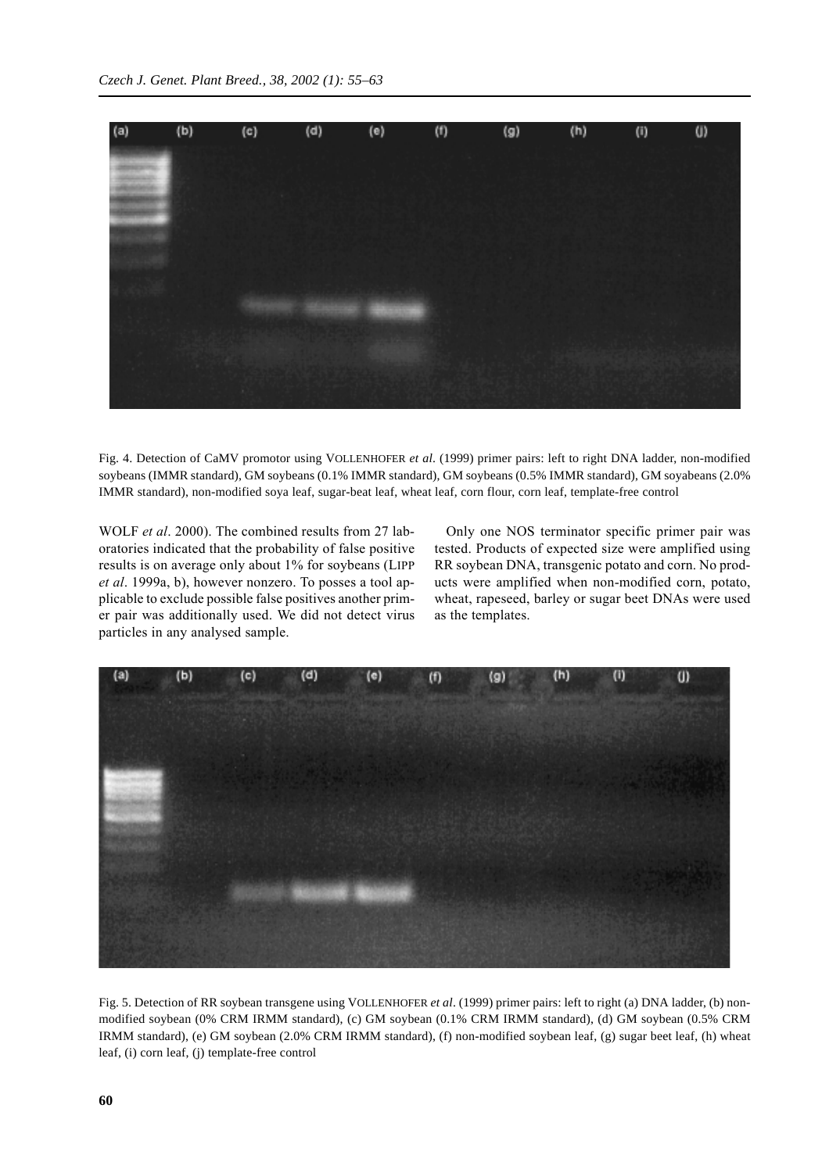

Fig. 4. Detection of CaMV promotor using VOLLENHOFER *et al*. (1999) primer pairs: left to right DNA ladder, non-modified soybeans (IMMR standard), GM soybeans (0.1% IMMR standard), GM soybeans (0.5% IMMR standard), GM soyabeans (2.0% IMMR standard), non-modified soya leaf, sugar-beat leaf, wheat leaf, corn flour, corn leaf, template-free control

WOLF *et al*. 2000). The combined results from 27 laboratories indicated that the probability of false positive results is on average only about 1% for soybeans (LIPP *et al*. 1999a, b), however nonzero. To posses a tool applicable to exclude possible false positives another primer pair was additionally used. We did not detect virus particles in any analysed sample.

Only one NOS terminator specific primer pair was tested. Products of expected size were amplified using RR soybean DNA, transgenic potato and corn. No products were amplified when non-modified corn, potato, wheat, rapeseed, barley or sugar beet DNAs were used as the templates.



Fig. 5. Detection of RR soybean transgene using VOLLENHOFER *et al*. (1999) primer pairs: left to right (a) DNA ladder, (b) nonmodified soybean (0% CRM IRMM standard), (c) GM soybean (0.1% CRM IRMM standard), (d) GM soybean (0.5% CRM IRMM standard), (e) GM soybean (2.0% CRM IRMM standard), (f) non-modified soybean leaf, (g) sugar beet leaf, (h) wheat leaf, (i) corn leaf, (j) template-free control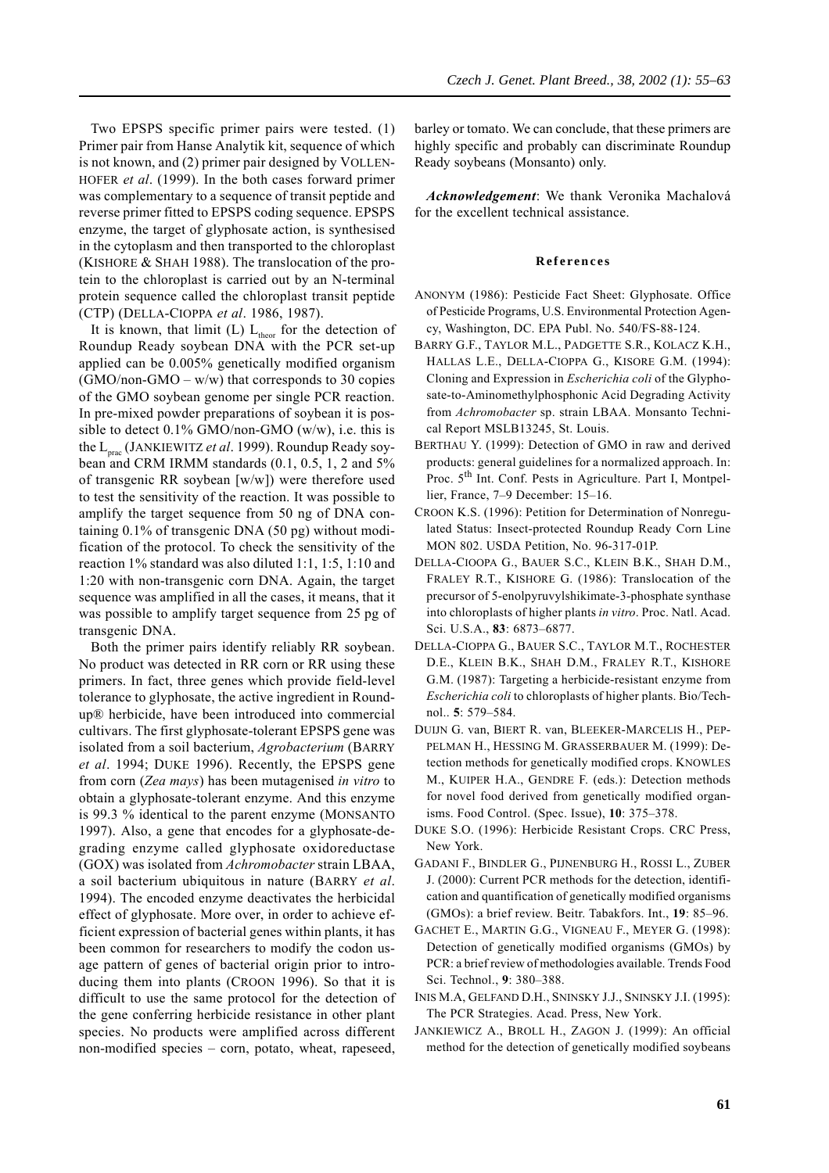Two EPSPS specific primer pairs were tested. (1) Primer pair from Hanse Analytik kit, sequence of which is not known, and (2) primer pair designed by VOLLEN-HOFER *et al*. (1999). In the both cases forward primer was complementary to a sequence of transit peptide and reverse primer fitted to EPSPS coding sequence. EPSPS enzyme, the target of glyphosate action, is synthesised in the cytoplasm and then transported to the chloroplast (KISHORE & SHAH 1988). The translocation of the protein to the chloroplast is carried out by an N-terminal protein sequence called the chloroplast transit peptide (CTP) (DELLA-CIOPPA *et al*. 1986, 1987).

It is known, that limit  $(L)$   $L_{\text{theor}}$  for the detection of Roundup Ready soybean DNA with the PCR set-up applied can be 0.005% genetically modified organism  $(GMO/non-GMO - w/w)$  that corresponds to 30 copies of the GMO soybean genome per single PCR reaction. In pre-mixed powder preparations of soybean it is possible to detect 0.1% GMO/non-GMO (w/w), i.e. this is the L<sub>prac</sub> (JANKIEWITZ *et al.* 1999). Roundup Ready soybean and CRM IRMM standards (0.1, 0.5, 1, 2 and 5% of transgenic RR soybean [w/w]) were therefore used to test the sensitivity of the reaction. It was possible to amplify the target sequence from 50 ng of DNA containing 0.1% of transgenic DNA (50 pg) without modification of the protocol. To check the sensitivity of the reaction 1% standard was also diluted 1:1, 1:5, 1:10 and 1:20 with non-transgenic corn DNA. Again, the target sequence was amplified in all the cases, it means, that it was possible to amplify target sequence from 25 pg of transgenic DNA.

Both the primer pairs identify reliably RR soybean. No product was detected in RR corn or RR using these primers. In fact, three genes which provide field-level tolerance to glyphosate, the active ingredient in Roundup® herbicide, have been introduced into commercial cultivars. The first glyphosate-tolerant EPSPS gene was isolated from a soil bacterium, *Agrobacterium* (BARRY *et al*. 1994; DUKE 1996). Recently, the EPSPS gene from corn (*Zea mays*) has been mutagenised *in vitro* to obtain a glyphosate-tolerant enzyme. And this enzyme is 99.3 % identical to the parent enzyme (MONSANTO 1997). Also, a gene that encodes for a glyphosate-degrading enzyme called glyphosate oxidoreductase (GOX) was isolated from *Achromobacter* strain LBAA, a soil bacterium ubiquitous in nature (BARRY *et al*. 1994). The encoded enzyme deactivates the herbicidal effect of glyphosate. More over, in order to achieve efficient expression of bacterial genes within plants, it has been common for researchers to modify the codon usage pattern of genes of bacterial origin prior to introducing them into plants (CROON 1996). So that it is difficult to use the same protocol for the detection of the gene conferring herbicide resistance in other plant species. No products were amplified across different non-modified species – corn, potato, wheat, rapeseed,

barley or tomato. We can conclude, that these primers are highly specific and probably can discriminate Roundup Ready soybeans (Monsanto) only.

*Acknowledgement*: We thank Veronika Machalová for the excellent technical assistance.

#### **References**

- ANONYM (1986): Pesticide Fact Sheet: Glyphosate. Office of Pesticide Programs, U.S. Environmental Protection Agency, Washington, DC. EPA Publ. No. 540/FS-88-124.
- BARRY G.F., TAYLOR M.L., PADGETTE S.R., KOLACZ K.H., HALLAS L.E., DELLA-CIOPPA G., KISORE G.M. (1994): Cloning and Expression in *Escherichia coli* of the Glyphosate-to-Aminomethylphosphonic Acid Degrading Activity from *Achromobacter* sp. strain LBAA. Monsanto Technical Report MSLB13245, St. Louis.
- BERTHAU Y. (1999): Detection of GMO in raw and derived products: general guidelines for a normalized approach. In: Proc.  $5<sup>th</sup>$  Int. Conf. Pests in Agriculture. Part I, Montpellier, France, 7–9 December: 15–16.
- CROON K.S. (1996): Petition for Determination of Nonregulated Status: Insect-protected Roundup Ready Corn Line MON 802. USDA Petition, No. 96-317-01P.
- DELLA-CIOOPA G., BAUER S.C., KLEIN B.K., SHAH D.M., FRALEY R.T., KISHORE G. (1986): Translocation of the precursor of 5-enolpyruvylshikimate-3-phosphate synthase into chloroplasts of higher plants *in vitro*. Proc. Natl. Acad. Sci. U.S.A., **83**: 6873–6877.
- DELLA-CIOPPA G., BAUER S.C., TAYLOR M.T., ROCHESTER D.E., KLEIN B.K., SHAH D.M., FRALEY R.T., KISHORE G.M. (1987): Targeting a herbicide-resistant enzyme from *Escherichia coli* to chloroplasts of higher plants. Bio/Technol.. **5**: 579–584.
- DUIJN G. van, BIERT R. van, BLEEKER-MARCELIS H., PEP-PELMAN H., HESSING M. GRASSERBAUER M. (1999): Detection methods for genetically modified crops. KNOWLES M., KUIPER H.A., GENDRE F. (eds.): Detection methods for novel food derived from genetically modified organisms. Food Control. (Spec. Issue), **10**: 375–378.
- DUKE S.O. (1996): Herbicide Resistant Crops. CRC Press, New York.
- GADANI F., BINDLER G., PIJNENBURG H., ROSSI L., ZUBER J. (2000): Current PCR methods for the detection, identification and quantification of genetically modified organisms (GMOs): a brief review. Beitr. Tabakfors. Int., **19**: 85–96.
- GACHET E., MARTIN G.G., VIGNEAU F., MEYER G. (1998): Detection of genetically modified organisms (GMOs) by PCR: a brief review of methodologies available. Trends Food Sci. Technol., **9**: 380–388.
- INIS M.A, GELFAND D.H., SNINSKY J.J., SNINSKY J.I. (1995): The PCR Strategies. Acad. Press, New York.
- JANKIEWICZ A., BROLL H., ZAGON J. (1999): An official method for the detection of genetically modified soybeans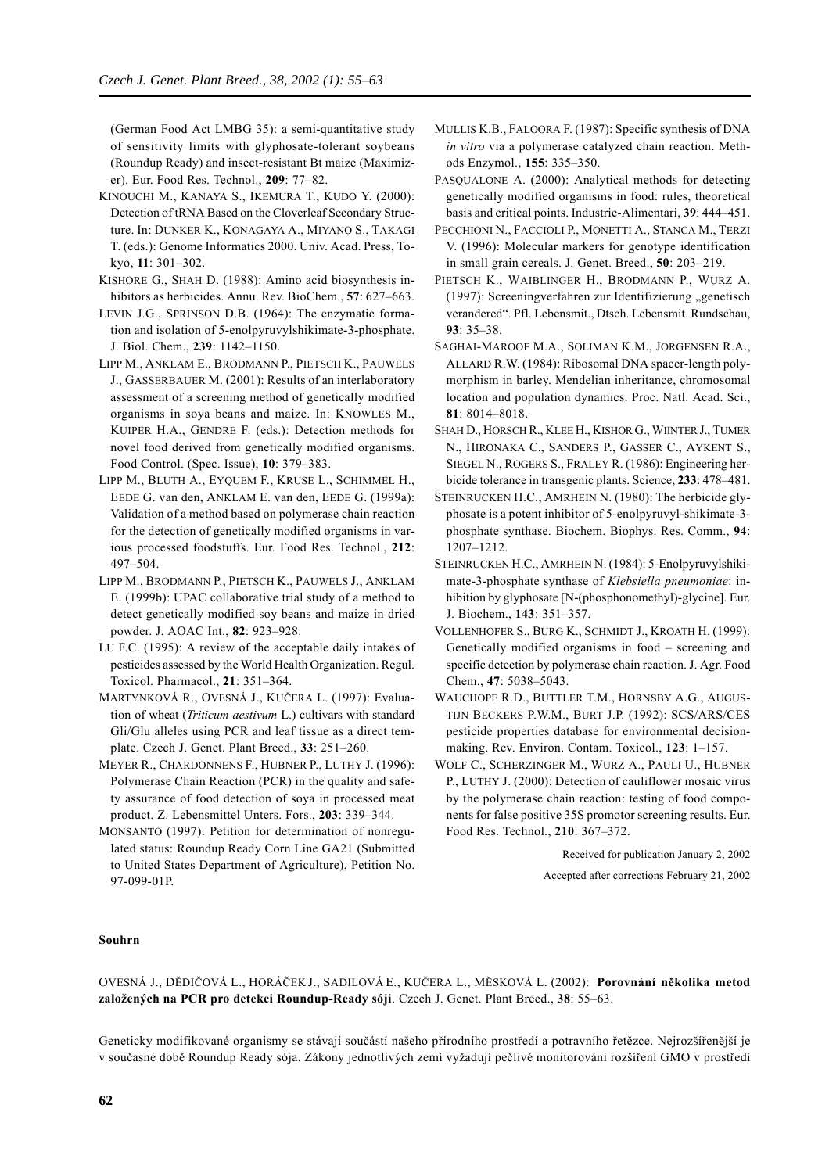(German Food Act LMBG 35): a semi-quantitative study of sensitivity limits with glyphosate-tolerant soybeans (Roundup Ready) and insect-resistant Bt maize (Maximizer). Eur. Food Res. Technol., **209**: 77–82.

- KINOUCHI M., KANAYA S., IKEMURA T., KUDO Y. (2000): Detection of tRNA Based on the Cloverleaf Secondary Structure. In: DUNKER K., KONAGAYA A., MIYANO S., TAKAGI T. (eds.): Genome Informatics 2000. Univ. Acad. Press, Tokyo, **11**: 301–302.
- KISHORE G., SHAH D. (1988): Amino acid biosynthesis inhibitors as herbicides. Annu. Rev. BioChem., **57**: 627–663.
- LEVIN J.G., SPRINSON D.B. (1964): The enzymatic formation and isolation of 5-enolpyruvylshikimate-3-phosphate. J. Biol. Chem., **239**: 1142–1150.
- LIPP M., ANKLAM E., BRODMANN P., PIETSCH K., PAUWELS J., GASSERBAUER M. (2001): Results of an interlaboratory assessment of a screening method of genetically modified organisms in soya beans and maize. In: KNOWLES M., KUIPER H.A., GENDRE F. (eds.): Detection methods for novel food derived from genetically modified organisms. Food Control. (Spec. Issue), **10**: 379–383.
- LIPP M., BLUTH A., EYQUEM F., KRUSE L., SCHIMMEL H., EEDE G. van den, ANKLAM E. van den, EEDE G. (1999a): Validation of a method based on polymerase chain reaction for the detection of genetically modified organisms in various processed foodstuffs. Eur. Food Res. Technol., **212**: 497–504.
- LIPP M., BRODMANN P., PIETSCH K., PAUWELS J., ANKLAM E. (1999b): UPAC collaborative trial study of a method to detect genetically modified soy beans and maize in dried powder. J. AOAC Int., **82**: 923–928.
- LU F.C. (1995): A review of the acceptable daily intakes of pesticides assessed by the World Health Organization. Regul. Toxicol. Pharmacol., **21**: 351–364.
- MARTYNKOVÁ R., OVESNÁ J., KUČERA L. (1997): Evaluation of wheat (*Triticum aestivum* L.) cultivars with standard Gli/Glu alleles using PCR and leaf tissue as a direct template. Czech J. Genet. Plant Breed., **33**: 251–260.
- MEYER R., CHARDONNENS F., HUBNER P., LUTHY J. (1996): Polymerase Chain Reaction (PCR) in the quality and safety assurance of food detection of soya in processed meat product. Z. Lebensmittel Unters. Fors., **203**: 339–344.
- MONSANTO (1997): Petition for determination of nonregulated status: Roundup Ready Corn Line GA21 (Submitted to United States Department of Agriculture), Petition No. 97-099-01P.
- MULLIS K.B., FALOORA F. (1987): Specific synthesis of DNA *in vitro* via a polymerase catalyzed chain reaction. Methods Enzymol., **155**: 335–350.
- PASQUALONE A. (2000): Analytical methods for detecting genetically modified organisms in food: rules, theoretical basis and critical points. Industrie-Alimentari, **39**: 444–451.
- PECCHIONI N., FACCIOLI P., MONETTI A., STANCA M., TERZI V. (1996): Molecular markers for genotype identification in small grain cereals. J. Genet. Breed., **50**: 203–219.
- PIETSCH K., WAIBLINGER H., BRODMANN P., WURZ A. (1997): Screeningverfahren zur Identifizierung "genetisch verandered". Pfl. Lebensmit., Dtsch. Lebensmit. Rundschau, **93**: 35–38.
- SAGHAI-MAROOF M.A., SOLIMAN K.M., JORGENSEN R.A., ALLARD R.W. (1984): Ribosomal DNA spacer-length polymorphism in barley. Mendelian inheritance, chromosomal location and population dynamics. Proc. Natl. Acad. Sci., **81**: 8014–8018.
- SHAH D., HORSCH R., KLEE H., KISHOR G., WIINTER J., TUMER N., HIRONAKA C., SANDERS P., GASSER C., AYKENT S., SIEGEL N., ROGERS S., FRALEY R. (1986): Engineering herbicide tolerance in transgenic plants. Science, **233**: 478–481.
- STEINRUCKEN H.C., AMRHEIN N. (1980): The herbicide glyphosate is a potent inhibitor of 5-enolpyruvyl-shikimate-3 phosphate synthase. Biochem. Biophys. Res. Comm., **94**: 1207–1212.
- STEINRUCKEN H.C., AMRHEIN N. (1984): 5-Enolpyruvylshikimate-3-phosphate synthase of *Klebsiella pneumoniae*: inhibition by glyphosate [N-(phosphonomethyl)-glycine]. Eur. J. Biochem., **143**: 351–357.
- VOLLENHOFER S., BURG K., SCHMIDT J., KROATH H. (1999): Genetically modified organisms in food – screening and specific detection by polymerase chain reaction. J. Agr. Food Chem., **47**: 5038–5043.
- WAUCHOPE R.D., BUTTLER T.M., HORNSBY A.G., AUGUS-TIJN BECKERS P.W.M., BURT J.P. (1992): SCS/ARS/CES pesticide properties database for environmental decisionmaking. Rev. Environ. Contam. Toxicol., **123**: 1–157.
- WOLF C., SCHERZINGER M., WURZ A., PAULI U., HUBNER P., LUTHY J. (2000): Detection of cauliflower mosaic virus by the polymerase chain reaction: testing of food components for false positive 35S promotor screening results. Eur. Food Res. Technol., **210**: 367–372.

Received for publication January 2, 2002

Accepted after corrections February 21, 2002

## **Souhrn**

OVESNÁ J., DĚDIČOVÁ L., HORÁČEK J., SADILOVÁ E., KUČERA L., MĚSKOVÁ L. (2002): **Porovnání několika metod založených na PCR pro detekci Roundup-Ready sóji**. Czech J. Genet. Plant Breed., **38**: 55–63.

Geneticky modifikované organismy se stávají součástí našeho přírodního prostředí a potravního řetězce. Nejrozšířenější je v současné době Roundup Ready sója. Zákony jednotlivých zemí vyžadují pečlivé monitorování rozšíření GMO v prostředí